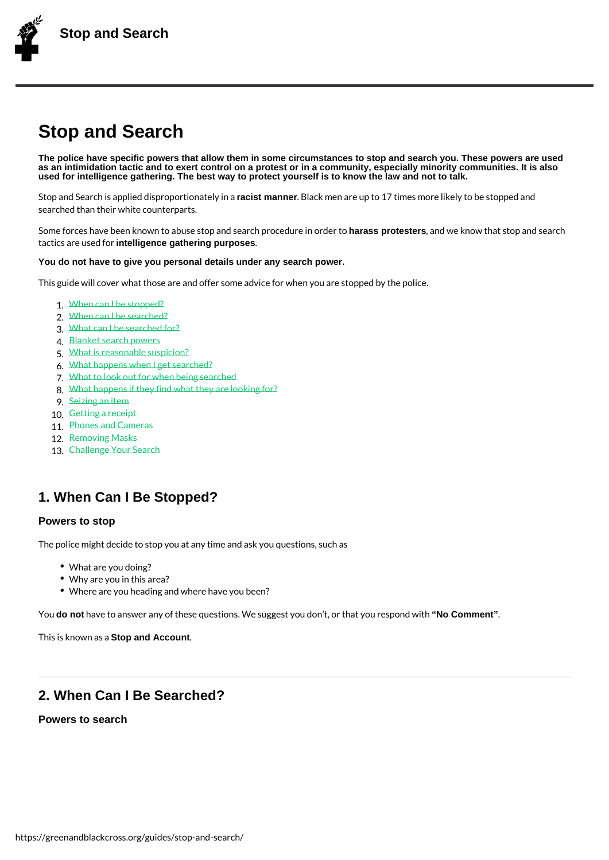# Stop and Search

The police have specific powers that allow them in some circumstances to stop and search you. These powers are used as an intimidation tactic and to exert control on a protest or in a community, especially minority communities. It is also used for intelligence gathering. The best way to protect yourself is to know the law and not to talk.

Stop and Search is applied disrapcisot mpounnerion. Bothealcyk innean are up to 17 times more likely to be s searched than their white counterparts.

Some forces have been known to abuse stop anholar**ass procelsters o, cendolar w**e inknow we that stop and search tactics are intelligientce gathering purposes

You do not have to give you personal details under any search power.

This guide will cover what those are and offer some advice for when you are stopped by t

```
1.When can I be stopped?
2.When can I be searched?
3.What can I be searched for?
4.Blanket search powers
5.What is reasonable suspicion?
6.What happens when I get searched?
What to look out for whem being searche
8.What happens if they find what they are looking for?
9.Seizing an item
10.Getting areceipt
11.Phones and Cameras
.Removing Masks
13.Challenge Your Search
```
### 1. W[hen Can I Be St](https://greenandblackcross.org/stop-and-search/13-challenge-search/)opped?

#### Powers to stop

The police might decide to stop you at any time and ask you questions, such as

- What are you doing?
- Why are you in this area?
- Where are you heading and where have you been?

You o not have to answer any of these questions. We suggest "No Comment", or that you respon

This is kno.Soltoop aand Anaccount.

### 2. When Can I Be Searched?

Powers to search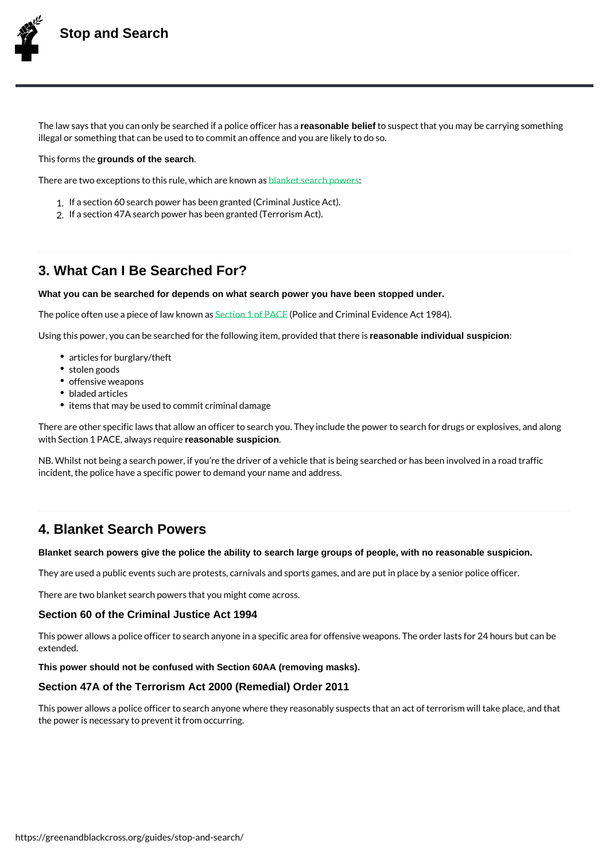The law says that you can only be searcreleased haldfie belief blitce soufsipoeecrt has a tayou may be carrying s illegal or something that can be used to to commit an offence and you are likely to do so.

This formgeouthds eof the search.

There are two exceptions to this rubed anothetic is examed it modwine rass

1.If a section 60 search power has been granted (Criminal Justice Act). 2.If a section 47A search power has been granted (Terrorism Act).

### 3. What Can I Be Searched For?

What you can be searched for depends on what search power you have been stopped under.

The police often use a piec<del>@eotibaw 1knot Poland C</del>riminal Evidence Act 1984).

Using this power, you can be searched for the folloenasion aple inculmiqual suspicationed that there is

- articles for burglary/t[heft](http://www.legislation.gov.uk/ukpga/1984/60/part/I)
- stolen goods
- offensive weapons
- bladed articles
- $\bullet$  items that may be used to commit criminal damage

There are other specific laws that allow an officer to search you. They include the power with  $S$  e ctPoAnC,  $E$  always rreasponiable suspicion.

NB. Whilst not being a search power, if you re the driver of a vehicle that is being searc incident, the police have a specific power to demand your name and address.

### 4. Blanket Search Powers

Blanket search powers give the police the ability to search large groups of people, with no reasonable suspicion.

They are used a public events such are protests, carnivals and sports games, and are pu

There are two blanket search powers that you might come across.

Section 60 of the Criminal Justice Act 1994

This power allows a police officer to search anyone in a specific area for offensive weap extended.

This power should not be confused with Section 60AA (removing masks).

Section 47A of the Terrorism Act 2000 (Remedial) Order 2011

This power allows a police officer to search anyone where they reasonably suspects that the power is necessary to prevent it from occurring.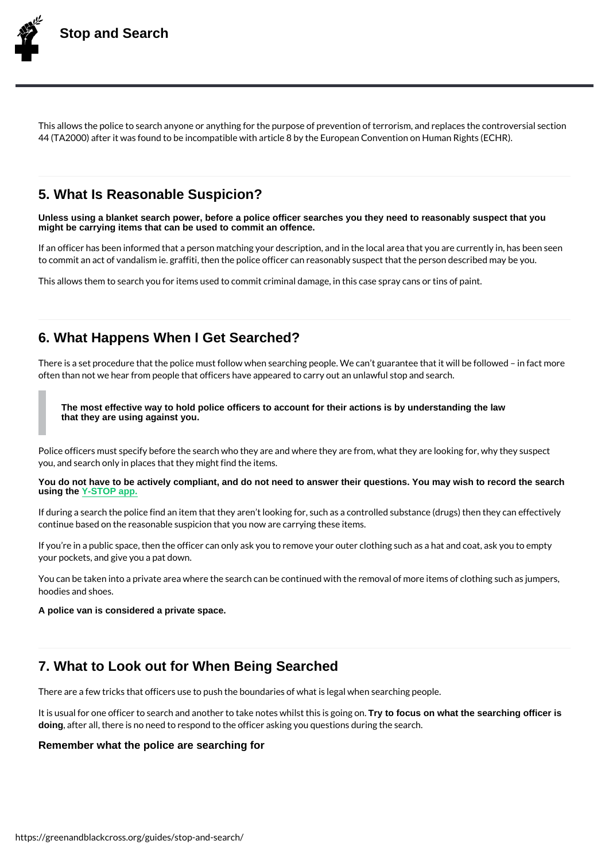This allows the police to search anyone or anything for the purpose of prevention of terror 44 (TA2000) after it was found to be incom Eautidople awnit Cho anteination by the man Rights (ECHR)

### 5. What Is Reasonable Suspicion?

Unless using a blanket search power, before a police officer searches you they need to reasonably suspect that you might be carrying items that can be used to commit an offence.

If an officer has been informed that a person matching your description, and in the local to commit an act of vandalism ie. graffiti, then the police officer can reasonably suspect

This allows them to search you for items used to commit criminal damage, in this case sp

### 6. What Happens When I Get Searched?

There is a set procedure that the police must follow when searching people. We can t gua often than not we hear from people that officers have appeared to carry out an unlawful s

The most effective way to hold police officers to account for their actions is by understanding the law that they are using against you.

Police officers must specify before the search who they are and where they are from, what you, and search only in places that they might find the items.

You do not have to be actively compliant, and do not need to answer their questions. You may wish to record the search using the Y-STOP app.

If during a search the police find an item that they aren t looking for, such as a controlle continue based on the reasonable suspicion that you now are carrying these items.

If you [re in a p](https://y-stop.org)ublic space, then the officer can only ask you to remove your outer clothing your pockets, and give you a pat down.

You can be taken into a private area where the search can be continued with the removal hoodies and shoes.

A police van is considered a private space.

### 7. What to Look out for When Being Searched

There are a few tricks that officers use to push the boundaries of what is legal when sea

It is usual for one officer to search and another toTrytbokfoecu**s on whaat whe is banchinhogiosflices isg**oing on. doing, after all, there is no need to respond to the officer asking you questions during the

#### Remember what the police are searching for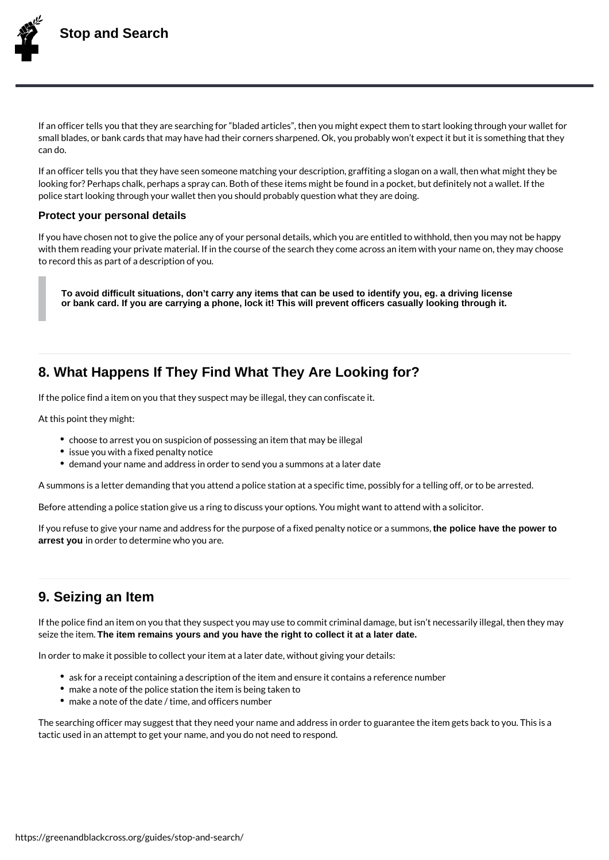

If an officer tells you that they are searching for "bladed articles", then you might expect them to start looking through your wallet for small blades, or bank cards that may have had their corners sharpened. Ok, you probably won't expect it but it is something that they can do.

If an officer tells you that they have seen someone matching your description, graffiting a slogan on a wall, then what might they be looking for? Perhaps chalk, perhaps a spray can. Both of these items might be found in a pocket, but definitely not a wallet. If the police start looking through your wallet then you should probably question what they are doing.

#### **Protect your personal details**

If you have chosen not to give the police any of your personal details, which you are entitled to withhold, then you may not be happy with them reading your private material. If in the course of the search they come across an item with your name on, they may choose to record this as part of a description of you.

**To avoid difficult situations, don't carry any items that can be used to identify you, eg. a driving license or bank card. If you are carrying a phone, lock it! This will prevent officers casually looking through it.**

# **8. What Happens If They Find What They Are Looking for?**

If the police find a item on you that they suspect may be illegal, they can confiscate it.

At this point they might:

- choose to arrest you on suspicion of possessing an item that may be illegal
- issue you with a fixed penalty notice
- demand your name and address in order to send you a summons at a later date

A summons is a letter demanding that you attend a police station at a specific time, possibly for a telling off, or to be arrested.

Before attending a police station give us a ring to discuss your options. You might want to attend with a solicitor.

If you refuse to give your name and address for the purpose of a fixed penalty notice or a summons, **the police have the power to arrest you** in order to determine who you are.

# **9. Seizing an Item**

If the police find an item on you that they suspect you may use to commit criminal damage, but isn't necessarily illegal, then they may seize the item. **The item remains yours and you have the right to collect it at a later date.**

In order to make it possible to collect your item at a later date, without giving your details:

- ask for a receipt containing a description of the item and ensure it contains a reference number
- make a note of the police station the item is being taken to
- make a note of the date / time, and officers number

The searching officer may suggest that they need your name and address in order to guarantee the item gets back to you. This is a tactic used in an attempt to get your name, and you do not need to respond.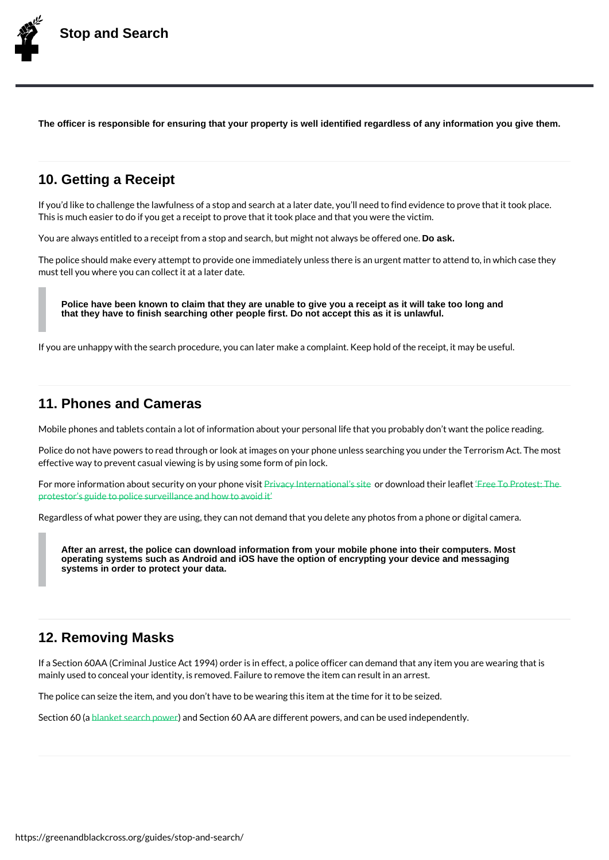The officer is responsible for ensuring that your property is well identified regardless of any information you give them.

### 10. Getting a Receipt

If you d like to challenge the lawfulness of a stop and search at a later date, you II need This is much easier to do if you get a receipt to prove that it took place and that you were

You are always entitled to a receipt from a stop and searcDhqabkut might not always be offe

The police should make every attempt to provide one immediately unless there is an urge must tell you where you can collect it at a later date.

Police have been known to claim that they are unable to give you a receipt as it will take too long and that they have to finish searching other people first. Do not accept this as it is unlawful.

If you are unhappy with the search procedure, you can later make a complaint. Keep hold

### 11. Phones and Cameras

Mobile phones and tablets contain a lot of information about your personal life that you p

Police do not have powers to read through or look at images on your phone unless search effective way to prevent casual viewing is by using some form of pin lock.

For more information about securitly rown you in pehone iovoisaild swamillerad the Fire lee affice Protest: The protestor s guide to police surveillance and how to avoid it

Regardless of what power they are using, they can not demand that you delete any photo

[After an arrest, the police can download information](https://greenandblackcross.org/wp-content/uploads/2021/11/cop-surveillance-FREE_TO_PROTEST-UK-EDITION-1.pdf) from your mobile phone into their computers. Most operating systems such as Android and iOS have the option of encrypting your device and messaging systems in order to protect your data.

### 12. Removing Masks

If a Section 60AA (Criminal Justice Act 1994) order is in effect, a police officer can dem mainly used to conceal your identity, is removed. Failure to remove the item can result in

The police can seize the item, and you don t have to be wearing this item at the time for

Section <u>6.0 (a blanket searc)</u> and Section 60 AA are different powers, and can be used independ